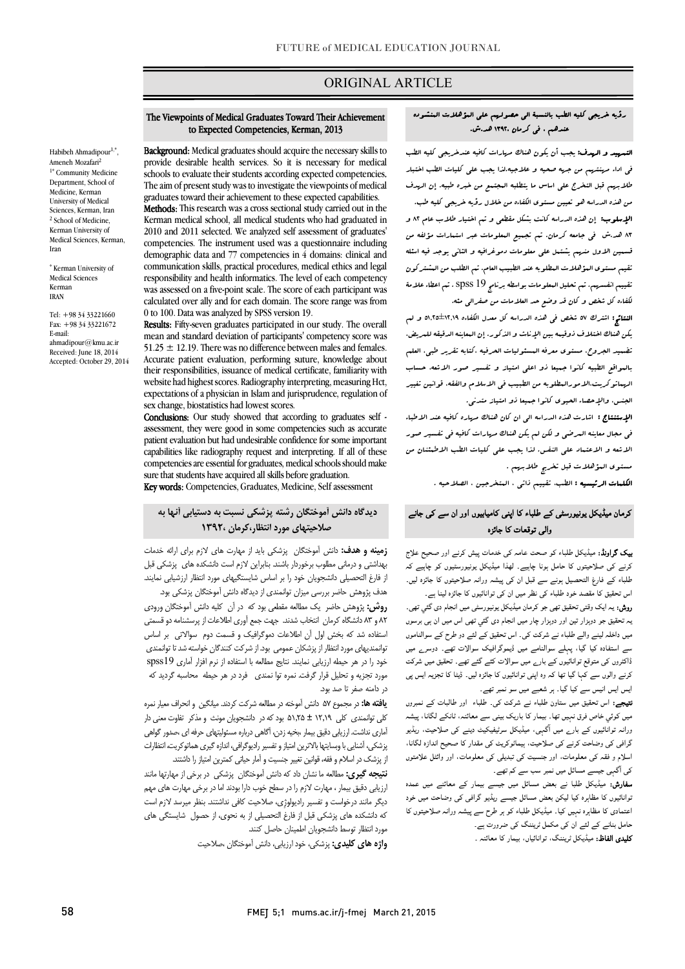# ORIGINAL ARTICLE

### رؤیه خریجی کلیه الطب بالنسبۀ الی حصولهم علی المؤهلات المنشوده عندهم ، فی کرمان 1392، هد.ش.

Ī

.<br>**انتموید و الریدف:** یجب أن یکون هناك مر<sub>ك</sub>ارات کافیه عندخریجی کلیه الطب فی اداء مهنتهم من جهه صحیه و علاجیه.لذا یجب علی کلیات الطب اختبار طلابهم قبل التخرج علی اساس ما یتطلبه المجتمع من خبره طبیه. إن الهدف من هذه الدراسه هو تعیین مستوي الکفاءه من خلال رؤیه خریجی کلیه طب. الإسلوب: إن هذه الدراسه کانت بشکل مقطعی و تم اختیار طلاب عام 82 و 83 هد.ش فی جامعه کرمان. تم تجمیع المعلومات عبر استمارات مؤلفه من قسمین الاول منهم یشتمل علی معلومات دموغرافیه و الثانی یوجد فیه اسئله تقیم مستوي المؤهلات المطلوبه عند الطبیب العام. تم الطلب من المشترکون تقییم انفسهم. تم تحلیل المعلومات بواسطه برنامج 19 spss. تم اعطاء علامۀ لکفاءه کل شخص و کان قد وضع حد العلامات من صفرالی مئه.

 النتائج: اشترك 57 شخص فی هذه الدراسه کل معدل الکفاءه 51,25±12,19 و لم یکن هناك اختلاف ذوقیمه بین الإناث و الذکور. إن المعاینه الدقیقه للمریض، تضمید الجروح، مستوي معرفه المسئولیات الحرفیه ،کتابه تقریر طبی، العلم بالمواقع الطبیه کانوا جمیعا ذو اعلی امتیاز و تفسیر صور الاشعه، حساب الهماتوکریت،الامورالمطلوبه من الطبیب فی الاسلام والفقه، قوانین تغییر الجنس، والإحصاء الحیوي کانوا جمیعا ذو امتیاز متدنی.

 الإستنتاج : اشارت هذه الدراسه الی ان کان هناك مهاره کافیه عند الاطباء فی مجال معاینه المرضی و لکن لم یکن هناك مهارات کافیه فی تفسیر صور الاشعه و الاعتماد علی النفس. لذا یجب علی کلیات الطب الاطمئنان من مستوي المؤهلات قبل تخریج طلابهم .

ا**لکلمات الرئیسیه :** الطب، تقییم ذات<sub>ی</sub> ، المتخرجین ، الصلاحیه .

## کرمان میڈیکل یونیورسٹی کے طلباء کا اپنی کامیابیوں اور ان سے کی جانے<br>... والی توقعات کا جائزہ

**ییک گراونڈ:** میڈیکل طلباء کو صحت عامہ کی خدمات پیش کرنے اور صحیح علاج کرنے کی صلاحیتوں کا حامل ہونا چاہیے۔ لھذا میڈیکل یونیورسٹیوں کو چاہیے کہ اس د ء ان اں ہ ۔ طلباء کے فارغ التحصیل ہونے سے قبل ان کی پیشہ ورانہ صلاحیتوں کا جائزہ لیں۔

ر**وش:** یہ ایک وقتی تحقیق تھی جو کرمان میڈیکل یونیورسٹی میں انجام دی گئبي تھی۔ بہ تحقیق جو دوہزار تین اور دوہزار چار میں انجام دی گئي تھی اس میں ان ہی برسوں میں داخلہ لینے والے طلباء نے شرکت کی۔ اس تحقیق کے لئے دو طرح کے سوالناموں سے استفادہ کیا گیا، پہلے سوالنامے میں ڈیموگرافیک سوالات تھے۔ دوسرے میں<br>نقطہ واں وہ ا اں ہ ۔ ڈ ا ایس ایس انیس سے کیا گیا۔ ہر شعبے میں سو نمبر تھے۔ ڈاکٹروں کی متوقع توانائیوں کے بارے میں سوالات کئے گئے تھے۔ تحقیق میں شرکت

**تیجے:** اس تحقیق میں ستاون طلباء نے شرکت کی۔ طلباء اور طالبات کے نمبروں میں کوئی خاص فرق نہیں تھا۔ بیمار کا باریک بینی سے معائنہ، ٹانکے لگانا، پیشہ<br>۔ رز -/ عرب ہیوں نے بارے ہیں۔ بہی میں ہیں کہ میں اس کے اس کے اس کے اس کے دور اس کے دور اس کے دوران<br>گرافی کی وضاحت کرنے کی صلاحیت، ہیماٹوکریٹ کی مقدار کا صحیح اندازہ لگانا، ۔<br>اسلام و فقہ کی معلومات، اور جنسیت کی تبدیلی کی معلومات، اور وائٹل علامتوں کی آگہی جیسے مسائل میں نمبر سب سے کم تھے۔ ورانہ توانائیوں کے بارے میں آگہی، میڈیکل سرٹیفیکیٹ دینے کی صلاحیت، ریڈیو

**سفارش:** میڈیکل طلبا نے بعض مسائل میں جیسے بیمار کے معائنے میں عمدہ ـوانائیوں نا مضاہرہ نیا نیکٹن بعض مسائل جیسے ریدیو کرامی ہی وصاحب میں حود<br>اعتمادی کا مظاہرہ نہیں کیا۔ میڈیکل طلباء کو ہر طرح سے پیشہ ورانہ صلاحیتوں کا ہوں ہے۔<br>حامل بنانے کے لئے ان کی مکمل ٹریننگ کی ضرورت ہے۔ **کلیدی الفاظ:** میڈیکل ٹریننگ، توانائیاں، بیمار کا معائنہ ۔ .<br>نوانائیوں کا مظاہرہ کیا لیکن بعض مسائل جیسے ریڈیو گراف<sub>ی</sub> کی وضاحت میں خود

#### to Expected Competencies, Kerman, 2013 The Viewpoints of Medical Graduates Toward Their Achievement

Ī

**Background:** medical graduates should acquire the necessary skins to<br>provide desirable health services. So it is necessary for medical schools to evaluate their students according expected competencies. The aim of present study was to investigate the viewpoints of medical **Methods:** This research was a cross sectional study carried out in the Kerman medical school, all medical students who had graduated in competencies. The instrument used was a questionnaire including demographic data and 77 competencies in 4 domains: clinical and responsibility and health informatics. The level of each competency was assessed on a five-point scale. The score of each participant was calculated over ally and for each domain. The score range was from Background: Medical graduates should acquire the necessary skills to graduates toward their achievement to these expected capabilities. 2010 and 2011 selected. We analyzed self assessment of graduates' communication skills, practical procedures, medical ethics and legal 0 to 100. Data was analyzed by SPSS version 19.

Results: Fifty-seven graduates participated in our study. The overall mean and standard deviation of participants' competency score was Accurate patient evaluation, performing suture, knowledge about their responsibilities, issuance of medical certificate, familiarity with expectations of a physician in Islam and jurisprudence, regulation of  $51.25 \pm 12.19$ . There was no difference between males and females. website had highest scores. Radiography interpreting, measuring Hct, sex change, biostatistics had lowest scores.

 Conclusions: Our study showed that according to graduates self - patient evaluation but had undesirable confidence for some important capabilities like radiography request and interpreting. If all of these sure that students have acquired all skills before graduation. assessment, they were good in some competencies such as accurate competencies are essential for graduates, medical schools should make

Key words: Competencies, Graduates, Medicine, Self assessment

# دیدگاه دانش آموختگان رشته پزشکی نسبت به دستیابی آنها به l, صلاحیتهاي مورد انتظار،کرمان 1392،

 زمینه و هدف: دانش آموختگان پزشکی باید از مهارت هاي لازم براي ارائه خدمات بهدستی و درستی مصوب برخوردار باسند بمبراین درم است دستانده سای پرسانی نبل<br>ز فارغ التحصیلی دانشجویان خود را بر اساس شایستگیهای مورد انتظار ارزشیابی نمایند. هدف پژوهش حاضر بررسی میزان توانمندي از دیدگاه دانش آموختگان پزشکی بود. بهداشتی و درمانی مطلوب برخوردار باشند. بنابراین لازم است دانشکده هاي پزشکی قبل

 روش: پژوهش حاضر یک مطالعه مقطعی بود که در آن کلیه دانش آموختگان ورودي 82 و 83 دانشگاه کرمان انتخاب شدند. جهت جمع آوري اطلاعات از پرسشنامه دو قسمتی استفاده شد که بخش اول آن اطلاعات دموگرافیک و قسمت دوم سوالاتی بر اساس توانمندیهاي مورد انتظار از پزشکان عمومی بود. از شرکت کنندگان خواسته شد تا توانمندي مورد تجزیه و تحلیل قرار گرفت. نمره توا نمندي فرد در هر حیطه محاسبه گردید که خود را در هر حیطه ارزیابی نمایند. نتایج مطالعه با استفاده از نرم افزار آماري 19spss در دامنه صفر تا صد بود.

 یافته ها: در مجموع 57 دانش آموخته در مطالعه شرکت کردند. میانگین و انحراف معیار نمره کلی توانمندي کلی 12,19 ± 51,25 بود که در دانشجویان مونث و مذکر تفاوت معنی دار آماري نداشت. ارزیابی دقیق بیمار ،بخیه زدن، آگاهی درباره مسئولیتهاي حرفه اي ،صدور گواهی بر سمت سمی در سینم از کردن استان برای سیر در سیر را در استان کرد.<br>از پزشک در اسلام و فقه، قوانین تغییر جنسیت و آمار حیاتی کمترین امتیاز را داشتند. پزشکی، آشنایی با وبسایتها بالاترین امتیاز و تفسیر رادیوگرافی، اندازه گیري هماتوکریت، انتظارات

.<br>ن**تیجه گیری:** مطالعه ما نشان داد که دانش آموختگان پزشکی در برخی از مهارتها مانند ارزیابی دقیق بیمار ، مهارت لازم را در سطح خوب دارا بودند اما در برخی مهارت هاي مهم دیگر مانند درخواست و تفسیر رادیولوژِي، صلاحیت کافی نداشتند. بنظر میرسد لازم است که دانشکده هاي پزشکی قبل از فارغ التحصیلی از به نحوي، از حصول شایستگی هاي مورد انتظار توسط دانشجویان اطمینان حاصل کنند.

واژه هاي کلیدي: پزشکی، خود ارزیابی، دانش آموختگان ،صلاحیت

Habibeh Ahmadipour<sup>1,\*</sup>, Ameneh Mozafari<sup>2</sup> 1\* Community Medicine Department, School of Medicine, Kerman University of Medical Sciences, Kerman, Iran <sup>2</sup> School of Medicine, Kerman University of Medical Sciences, Kerman, Iran

\* Kerman University of Medical Sciences Kerman IRAN

 $Tel: +983433221660$ Fax: +98 34 33221672 E-mail: ahmadipour@kmu.ac.ir Received: June 18, 2014 Accepted: October 29, 2014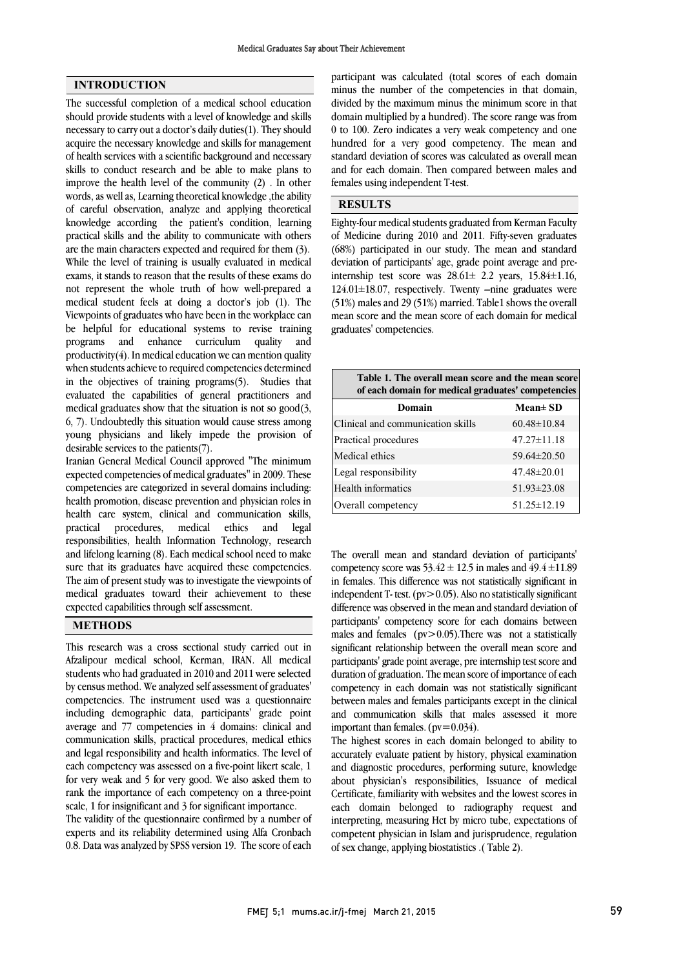## INTRODUCTION

The successful completion of a medical school education should provide students with a level of knowledge and skills necessary to carry out a doctor's daily duties(1). They should acquire the necessary knowledge and skills for management of health services with a scientific background and necessary skills to conduct research and be able to make plans to improve the health level of the community (2) . In other words, as well as, Learning theoretical knowledge ,the ability of careful observation, analyze and applying theoretical knowledge according the patient's condition, learning practical skills and the ability to communicate with others are the main characters expected and required for them (3). While the level of training is usually evaluated in medical exams, it stands to reason that the results of these exams do not represent the whole truth of how well-prepared a medical student feels at doing a doctor's job (1). The Viewpoints of graduates who have been in the workplace can be helpful for educational systems to revise training programs and enhance curriculum quality and productivity $(4)$ . In medical education we can mention quality when students achieve to required competencies determined in the objectives of training programs(5). Studies that evaluated the capabilities of general practitioners and medical graduates show that the situation is not so good(3, 6, 7). Undoubtedly this situation would cause stress among young physicians and likely impede the provision of desirable services to the patients(7).

Iranian General Medical Council approved "The minimum expected competencies of medical graduates" in 2009. These competencies are categorized in several domains including: health promotion, disease prevention and physician roles in health care system, clinical and communication skills, practical procedures, medical ethics and legal responsibilities, health Information Technology, research and lifelong learning (8). Each medical school need to make sure that its graduates have acquired these competencies. The aim of present study was to investigate the viewpoints of medical graduates toward their achievement to these expected capabilities through self assessment.

### METHODS

This research was a cross sectional study carried out in Afzalipour medical school, Kerman, IRAN. All medical students who had graduated in 2010 and 2011 were selected by census method. We analyzed self assessment of graduates' competencies. The instrument used was a questionnaire including demographic data, participants' grade point average and 77 competencies in 4 domains: clinical and communication skills, practical procedures, medical ethics and legal responsibility and health informatics. The level of each competency was assessed on a five-point likert scale, 1 for very weak and 5 for very good. We also asked them to rank the importance of each competency on a three-point scale, 1 for insignificant and 3 for significant importance.

The validity of the questionnaire confirmed by a number of experts and its reliability determined using Alfa Cronbach 0.8. Data was analyzed by SPSS version 19. The score of each

 participant was calculated (total scores of each domain minus the number of the competencies in that domain, divided by the maximum minus the minimum score in that 0 to 100. Zero indicates a very weak competency and one hundred for a very good competency. The mean and standard deviation of scores was calculated as overall mean and for each domain. Then compared between males and females using independent T-test. domain multiplied by a hundred). The score range was from

#### RESULTS

 Eighty-four medical students graduated from Kerman Faculty of Medicine during 2010 and 2011. Fifty-seven graduates deviation of participants' age, grade point average and preinternship test score was  $28.61 \pm 2.2$  years,  $15.84 \pm 1.16$ , 124.01±18.07, respectively. Twenty –nine graduates were (51%) males and 29 (51%) married. Table1 shows the overall mean score and the mean<br>graduates' competencies. (68%) participated in our study. The mean and standard mean score and the mean score of each domain for medical

| Table 1. The overall mean score and the mean score<br>of each domain for medical graduates' competencies |                   |  |  |  |
|----------------------------------------------------------------------------------------------------------|-------------------|--|--|--|
| Domain                                                                                                   | $Mean \pm SD$     |  |  |  |
| Clinical and communication skills                                                                        | $60.48 \pm 10.84$ |  |  |  |
| Practical procedures                                                                                     | $47.27 \pm 11.18$ |  |  |  |
| Medical ethics                                                                                           | $59.64 \pm 20.50$ |  |  |  |
| Legal responsibility                                                                                     | $47.48 \pm 20.01$ |  |  |  |
| Health informatics                                                                                       | $51.93 \pm 23.08$ |  |  |  |
| Overall competency                                                                                       | $51.25 \pm 12.19$ |  |  |  |

 The overall mean and standard deviation of participants' competency score was  $53.42 \pm 12.5$  in males and  $49.4 \pm 11.89$ in tentates. This difference was not statistically significant in<br>independent T- test. (pv>0.05). Also no statistically significant difference was observed in the mean and standard deviation of participants' competency score for each domains between males and females  $(pv > 0.05)$ . There was not a statistically participants' grade point average, pre internship test score and duration of graduation. The mean score of importance of each competency in each domain was not statistically significant between males and females participants except in the clinical important than females. (pv=0.034). in females. This difference was not statistically significant in significant relationship between the overall mean score and and communication skills that males assessed it more

 The highest scores in each domain belonged to ability to accurately evaluate patient by history, physical examination and diagnostic procedures, performing suture, knowledge about physician's responsibilities, Issuance of medical each domain belonged to radiography request and interpreting, measuring Hct by micro tube, expectations of competent physician in Islam and jurisprudence, regulation of sex change, applying biostatistics .( Table 2). Certificate, familiarity with websites and the lowest scores in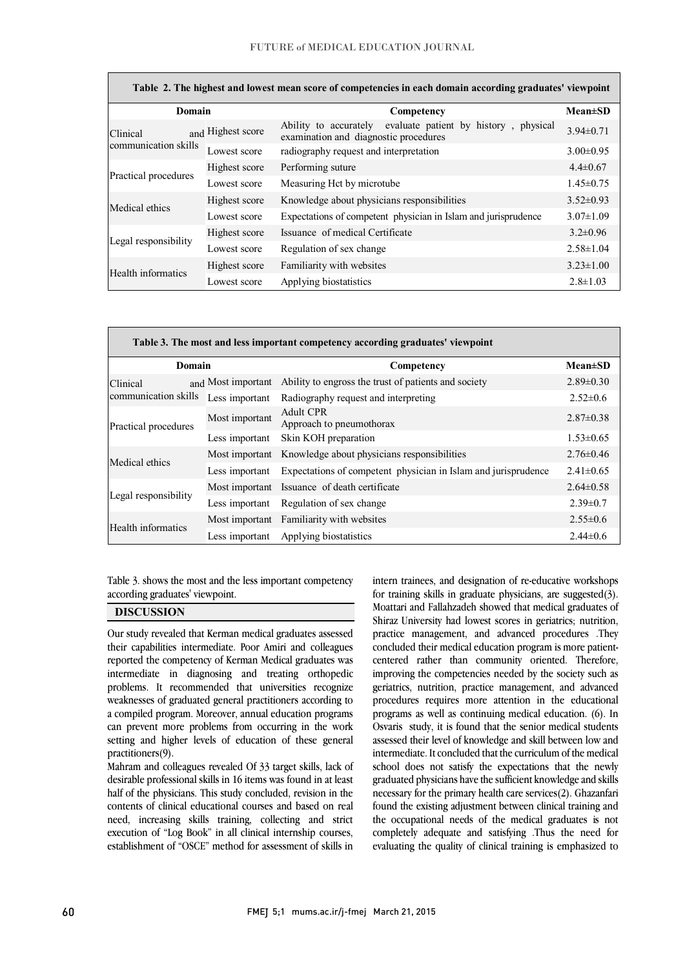$\overline{a}$ 

| Table 2. The highest and lowest mean score of competencies in each domain according graduates' viewpoint |                   |                                                                                                            |                 |  |  |  |
|----------------------------------------------------------------------------------------------------------|-------------------|------------------------------------------------------------------------------------------------------------|-----------------|--|--|--|
| Domain                                                                                                   |                   | Competency                                                                                                 | $Mean \pm SD$   |  |  |  |
| Clinical<br>communication skills                                                                         | and Highest score | evaluate patient by history,<br>Ability to accurately<br>physical<br>examination and diagnostic procedures | $3.94 \pm 0.71$ |  |  |  |
|                                                                                                          | Lowest score      | radiography request and interpretation                                                                     | $3.00 \pm 0.95$ |  |  |  |
| Practical procedures                                                                                     | Highest score     | Performing suture                                                                                          | $4.4 \pm 0.67$  |  |  |  |
|                                                                                                          | Lowest score      | Measuring Hct by microtube                                                                                 | $1.45 \pm 0.75$ |  |  |  |
| Medical ethics                                                                                           | Highest score     | Knowledge about physicians responsibilities                                                                | $3.52 \pm 0.93$ |  |  |  |
|                                                                                                          | Lowest score      | Expectations of competent physician in Islam and jurisprudence                                             | $3.07 \pm 1.09$ |  |  |  |
| Legal responsibility                                                                                     | Highest score     | Issuance of medical Certificate                                                                            | $3.2 \pm 0.96$  |  |  |  |
|                                                                                                          | Lowest score      | Regulation of sex change                                                                                   | $2.58 \pm 1.04$ |  |  |  |
| Health informatics                                                                                       | Highest score     | Familiarity with websites                                                                                  | $3.23 \pm 1.00$ |  |  |  |
|                                                                                                          | Lowest score      | Applying biostatistics                                                                                     | $2.8 \pm 1.03$  |  |  |  |

| Table 3. The most and less important competency according graduates' viewpoint |                    |                                                                |                 |  |  |  |
|--------------------------------------------------------------------------------|--------------------|----------------------------------------------------------------|-----------------|--|--|--|
| Domain                                                                         |                    | Competency                                                     | $Mean \pm SD$   |  |  |  |
| Clinical<br>communication skills                                               | and Most important | Ability to engross the trust of patients and society           | $2.89\pm0.30$   |  |  |  |
|                                                                                | Less important     | Radiography request and interpreting                           | $2.52 \pm 0.6$  |  |  |  |
| Practical procedures                                                           | Most important     | Adult CPR<br>Approach to pneumothorax                          | $2.87 \pm 0.38$ |  |  |  |
|                                                                                | Less important     | Skin KOH preparation                                           | $1.53 \pm 0.65$ |  |  |  |
| Medical ethics                                                                 | Most important     | Knowledge about physicians responsibilities                    | $2.76\pm0.46$   |  |  |  |
|                                                                                | Less important     | Expectations of competent physician in Islam and jurisprudence | $2.41 \pm 0.65$ |  |  |  |
| Legal responsibility                                                           | Most important     | Issuance of death certificate                                  | $2.64 \pm 0.58$ |  |  |  |
|                                                                                | Less important     | Regulation of sex change                                       | $2.39 \pm 0.7$  |  |  |  |
| Health informatics                                                             |                    | Most important Familiarity with websites                       | $2.55 \pm 0.6$  |  |  |  |
|                                                                                | Less important     | Applying biostatistics                                         | $2.44\pm 0.6$   |  |  |  |

Table 3. shows the most and the less important competency  $\overline{a}$ according graduates' viewpoint.

 $\overline{a}$ 

## DISCUSSION

 Our study revealed that Kerman medical graduates assessed reported the competency of Kerman Medical graduates was intermediate in diagnosing and treating orthopedic problems. It recommended that universities recognize weaknesses of graduated general practitioners according to can prevent more problems from occurring in the work setting and higher levels of education of these general their capabilities intermediate. Poor Amiri and colleagues a compiled program. Moreover, annual education programs practitioners(9).

 Mahram and colleagues revealed Of 33 target skills, lack of half of the physicians. This study concluded, revision in the contents of clinical educational courses and based on real need, increasing skills training, collecting and strict execution of "Log Book" in all clinical internship courses, establishment of "OSCE" method for assessment of skills in desirable professional skills in 16 items was found in at least

 for training skills in graduate physicians, are suggested(3). Moattari and Fallahzadeh showed that medical graduates of Shiraz University had lowest scores in geriatrics; nutrition, practice management, and advanced procedures .They centered rather than community oriented. Therefore, improving the competencies needed by the society such as geriatrics, nutrition, practice management, and advanced procedures requires more attention in the educational Osvaris study, it is found that the senior medical students assessed their level of knowledge and skill between low and intermediate. It concluded that the curriculum of the medical school does not satisfy the expectations that the newly necessary for the primary health care services(2). Ghazanfari found the existing adjustment between clinical training and the occupational needs of the medical graduates is not completely adequate and satisfying .Thus the need for evaluating the quality of clinical training is emphasized to intern trainees, and designation of re-educative workshops concluded their medical education program is more patientprograms as well as continuing medical education. (6). In graduated physicians have the sufficient knowledge and skills

 $\overline{a}$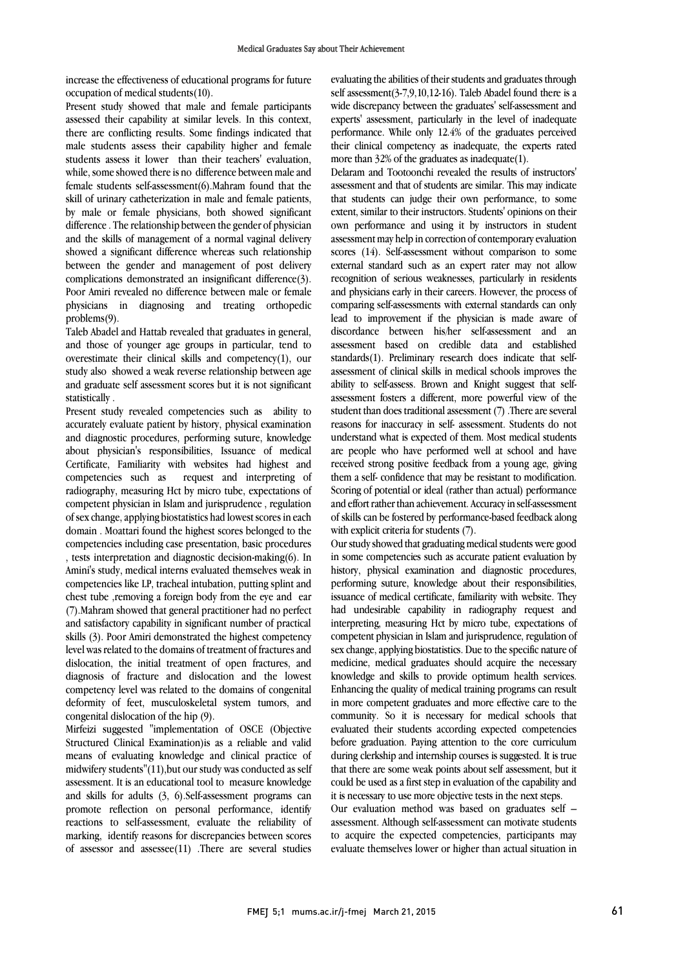increase the effectiveness of educational programs for future occupation of medical students(10).

Present study showed that male and female participants assessed their capability at similar levels. In this context, there are conflicting results. Some findings indicated that male students assess their capability higher and female students assess it lower than their teachers' evaluation, while, some showed there is no difference between male and female students self-assessment(6).Mahram found that the skill of urinary catheterization in male and female patients, by male or female physicians, both showed significant difference . The relationship between the gender of physician and the skills of management of a normal vaginal delivery showed a significant difference whereas such relationship between the gender and management of post delivery complications demonstrated an insignificant difference(3). Poor Amiri revealed no difference between male or female physicians in diagnosing and treating orthopedic problems(9).

Taleb Abadel and Hattab revealed that graduates in general, and those of younger age groups in particular, tend to overestimate their clinical skills and competency(1), our study also showed a weak reverse relationship between age and graduate self assessment scores but it is not significant statistically .

Present study revealed competencies such as ability to accurately evaluate patient by history, physical examination and diagnostic procedures, performing suture, knowledge about physician's responsibilities, Issuance of medical Certificate, Familiarity with websites had highest and competencies such as request and interpreting of radiography, measuring Hct by micro tube, expectations of competent physician in Islam and jurisprudence , regulation of sex change, applying biostatistics had lowest scores in each domain . Moattari found the highest scores belonged to the competencies including case presentation, basic procedures , tests interpretation and diagnostic decision-making(6). In Amini's study, medical interns evaluated themselves weak in competencies like LP, tracheal intubation, putting splint and chest tube ,removing a foreign body from the eye and ear (7).Mahram showed that general practitioner had no perfect and satisfactory capability in significant number of practical skills (3). Poor Amiri demonstrated the highest competency level was related to the domains of treatment of fractures and dislocation, the initial treatment of open fractures, and diagnosis of fracture and dislocation and the lowest competency level was related to the domains of congenital deformity of feet, musculoskeletal system tumors, and congenital dislocation of the hip (9).

Mirfeizi suggested "implementation of OSCE (Objective Structured Clinical Examination)is as a reliable and valid means of evaluating knowledge and clinical practice of midwifery students"(11),but our study was conducted as self assessment. It is an educational tool to measure knowledge and skills for adults (3, 6).Self-assessment programs can promote reflection on personal performance, identify reactions to self-assessment, evaluate the reliability of marking, identify reasons for discrepancies between scores of assessor and assessee(11) .There are several studies

 evaluating the abilities of their students and graduates through self assessment(3-7,9,10,12-16). Taleb Abadel found there is a wide discrepancy between the graduates' self-assessment and experts' assessment, particularly in the level of inadequate their clinical competency as inadequate, the experts rated more than 32% of the graduates as inadequate(1). performance. While only 12.4% of the graduates perceived

 Delaram and Tootoonchi revealed the results of instructors' assessment and that of students are similar. This may indicate extent, similar to their instructors. Students' opinions on their own performance and using it by instructors in student assessment may help in correction of contemporary evaluation scores (14). Self-assessment without comparison to some recognition of serious weaknesses, particularly in residents and physicians early in their careers. However, the process of comparing self-assessments with external standards can only lead to improvement if the physician is made aware of assessment based on credible data and established standards(1). Preliminary research does indicate that self- assessment of clinical skills in medical schools improves the ability to self-assess. Brown and Knight suggest that self- student than does traditional assessment (7) .There are several reasons for inaccuracy in self- assessment. Students do not understand what is expected of them. Most medical students are people who have performed well at school and have them a self- confidence that may be resistant to modification. Scoring of potential or ideal (rather than actual) performance and effort rather than achievement. Accuracy in self-assessment of skills can be fostered by performance-based feedback along that students can judge their own performance, to some external standard such as an expert rater may not allow discordance between his/her self-assessment and an assessment fosters a different, more powerful view of the received strong positive feedback from a young age, giving with explicit criteria for students (7).

Our study showed that graduating medical students were good in some competencies such as accurate patient evaluation by history, physical examination and diagnostic procedures, performing suture, knowledge about their responsibilities, had undesirable capability in radiography request and interpreting, measuring Hct by micro tube, expectations of competent physician in Islam and jurisprudence, regulation of sex change, applying biostatistics. Due to the specific nature of knowledge and skills to provide optimum health services. Enhancing the quality of medical training programs can result in more competent graduates and more effective care to the community. So it is necessary for medical schools that before graduation. Paying attention to the core curriculum during clerkship and internship courses is suggested. It is true that there are some weak points about self assessment, but it could be used as a first step in evaluation of the capability and issuance of medical certificate, familiarity with website. They medicine, medical graduates should acquire the necessary evaluated their students according expected competencies it is necessary to use more objective tests in the next steps.

 Our evaluation method was based on graduates self – assessment. Although self-assessment can motivate students to acquire the expected competencies, participants may evaluate themselves lower or higher than actual situation in